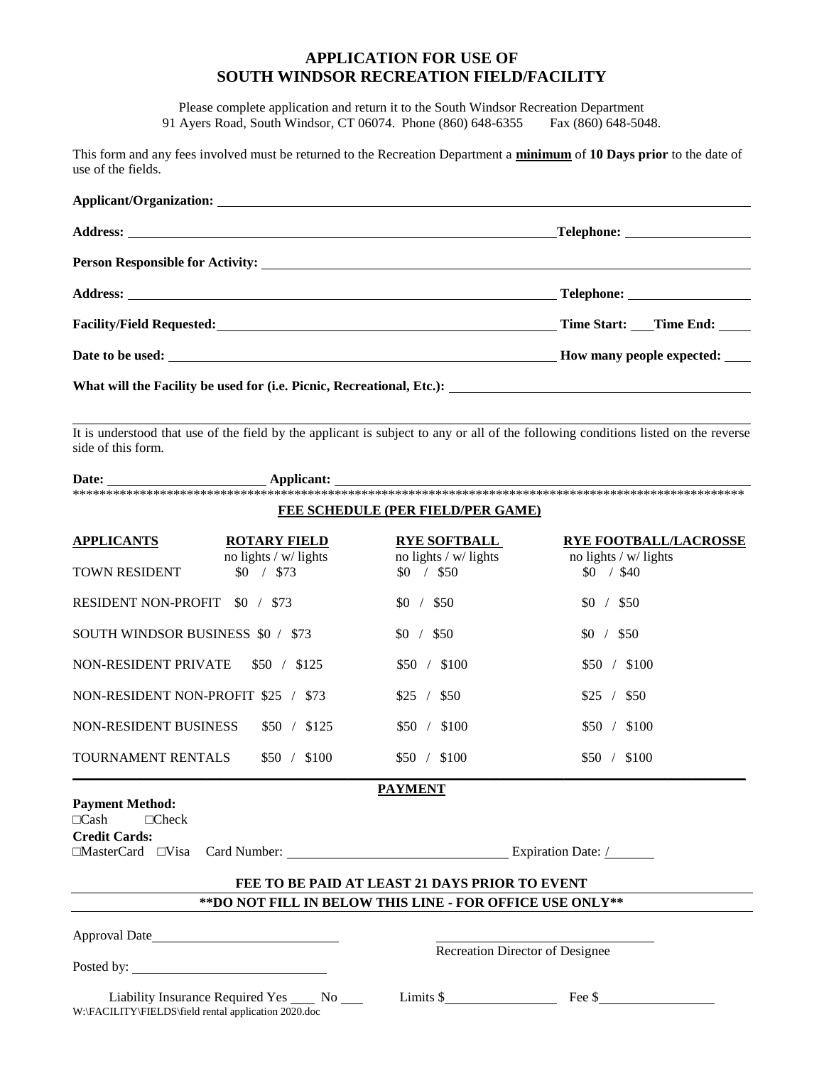# **APPLICATION FOR USE OF SOUTH WINDSOR RECREATION FIELD/FACILITY**

Please complete application and return it to the South Windsor Recreation Department 91 Ayers Road, South Windsor, CT 06074. Phone (860) 648-6355 Fax (860) 648-5048.

This form and any fees involved must be returned to the Recreation Department a minimum of 10 Days prior to the date of use of the fields.

| It is understood that use of the field by the applicant is subject to any or all of the following conditions listed on the reverse<br>side of this form.<br>$\textbf{ \textbf{Date:} \textbf{ \textbf{1}} \textbf{1} }$ |                                                                        |                                                                            |
|-------------------------------------------------------------------------------------------------------------------------------------------------------------------------------------------------------------------------|------------------------------------------------------------------------|----------------------------------------------------------------------------|
|                                                                                                                                                                                                                         | FEE SCHEDULE (PER FIELD/PER GAME)                                      |                                                                            |
| <b>APPLICANTS</b><br><b>ROTARY FIELD</b><br>no lights / w/ lights<br>\$0 / \$73<br>TOWN RESIDENT                                                                                                                        | <b>RYE SOFTBALL</b><br>no lights / w/ lights<br>$$0 \quad / \quad $50$ | <b>RYE FOOTBALL/LACROSSE</b><br>no lights $/w$ lights<br>$$0 \quad / \$40$ |
| RESIDENT NON-PROFIT \$0 / \$73                                                                                                                                                                                          | \$0 / \$50                                                             | \$0 / \$50                                                                 |
| SOUTH WINDSOR BUSINESS \$0 / \$73                                                                                                                                                                                       | \$0 / \$50                                                             | \$0 / \$50                                                                 |
| NON-RESIDENT PRIVATE<br>\$50 / \$125                                                                                                                                                                                    | \$50 / \$100                                                           | \$50 / \$100                                                               |
| NON-RESIDENT NON-PROFIT \$25 / \$73                                                                                                                                                                                     | \$25 / \$50                                                            | $$25 \; / \; $50$                                                          |
| NON-RESIDENT BUSINESS<br>\$50 / \$125                                                                                                                                                                                   | \$50 / \$100                                                           | \$50 / \$100                                                               |
| TOURNAMENT RENTALS<br>\$50 / \$100                                                                                                                                                                                      | \$50 / \$100                                                           | \$50 / \$100                                                               |
| <b>Payment Method:</b>                                                                                                                                                                                                  | <b>PAYMENT</b>                                                         |                                                                            |
| $\Box$ Cash<br>$\Box$ Check<br><b>Credit Cards:</b><br>$\Box$ MasterCard $\Box$ Visa                                                                                                                                    | FEE TO BE PAID AT LEAST 21 DAYS PRIOR TO EVENT                         |                                                                            |
|                                                                                                                                                                                                                         | ** DO NOT FILL IN BELOW THIS LINE - FOR OFFICE USE ONLY**              |                                                                            |
|                                                                                                                                                                                                                         | Recreation Director of Designee                                        |                                                                            |
| Liability Insurance Required Yes ______ No _____<br>W:\FACILITY\FIELDS\field rental application 2020.doc                                                                                                                |                                                                        | $Limits $$ Fee \$                                                          |